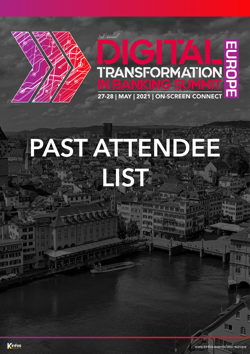

## **EURO** TRANSFORMATION

27-28 | MAY | 2021 | ON-SCREEN CONNECT

# PASTATE ND HE EIST.

d'annual

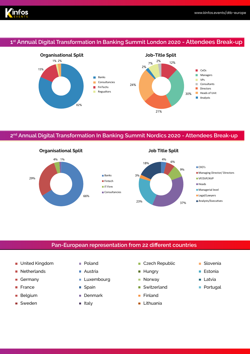

#### **1st Annual Digital Transformation In Banking Summit London 2020 - Attendees Break-up**



#### **2nd Annual Digital Transformation In Banking Summit Nordics 2020 - Attendees Break-up**



#### **Pan-European representation from 22 different countries**

- United Kingdom Poland
- Netherlands ×
- п Germany
- **France**
- Belgium п
- Sweden
- 
- Austria
- **Luxembourg**
- Spain
- **Denmark**
- ltaly
- Czech Republic Ħ
- Hungry T.
- Norway I.
- n. Switzerland
- Finland Ė
- Lithuania Ē.
- **Slovenia**
- Estonia
- Latvia п
- **Portugal**